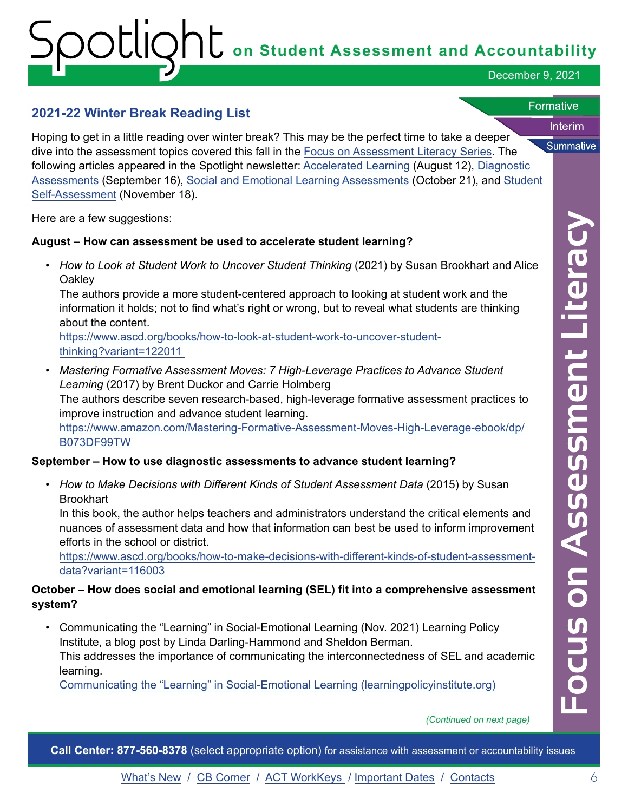# **on Student Assessment and Accountability**

December 9, 2021

Interim

**Summative** 

**Formative** 

### **2021-22 Winter Break Reading List**

Hoping to get in a little reading over winter break? This may be the perfect time to take a deeper dive into the assessment topics covered this fall in the [Focus on Assessment Literacy Series.](https://www.michigan.gov/mde/0,4615,7-140-22709_106046---,00.html) The following articles appeared in the Spotlight newsletter: [Accelerated Learning](https://www.michigan.gov/documents/mde/Spotlight_8-12-21_732648_7.pdf) (August 12), [Diagnostic](https://www.michigan.gov/documents/mde/Spotlight_9-16-21_735652_7.pdf)  [Assessments](https://www.michigan.gov/documents/mde/Spotlight_9-16-21_735652_7.pdf) (September 16), [Social and Emotional Learning Assessments](https://www.michigan.gov/documents/mde/Spotlight_10-21-21_739015_7.pdf) (October 21), and [Student](https://www.michigan.gov/documents/mde/Spotlight_11-18-21_741635_7.pdf) [Self-Assessment](https://www.michigan.gov/documents/mde/Spotlight_11-18-21_741635_7.pdf) (November 18).

Here are a few suggestions:

#### **August – How can assessment be used to accelerate student learning?**

*• How to Look at Student Work to Uncover Student Thinking* (2021) by Susan Brookhart and Alice **Oakley** 

The authors provide a more student-centered approach to looking at student work and the information it holds; not to find what's right or wrong, but to reveal what students are thinking about the content.

[https://www.ascd.org/books/how-to-look-at-student-work-to-uncover-student](https://www.ascd.org/books/how-to-look-at-student-work-to-uncover-student-thinking?variant=122011 )[thinking?variant=122011](https://www.ascd.org/books/how-to-look-at-student-work-to-uncover-student-thinking?variant=122011 ) 

**• Mastering Formative Assessment Moves: 7 High-Leverage Practices to Advance Student** *Learning* (2017) by Brent Duckor and Carrie Holmberg

The authors describe seven research-based, high-leverage formative assessment practices to improve instruction and advance student learning.

[https://www.amazon.com/Mastering-Formative-Assessment-Moves-High-Leverage-ebook/dp/](https://www.amazon.com/Mastering-Formative-Assessment-Moves-High-Leverage-ebook/dp/B073DF99TW)  [B073DF99TW](https://www.amazon.com/Mastering-Formative-Assessment-Moves-High-Leverage-ebook/dp/B073DF99TW) 

#### **September – How to use diagnostic assessments to advance student learning?**

*• How to Make Decisions with Different Kinds of Student Assessment Data* (2015) by Susan **Brookhart** 

In this book, the author helps teachers and administrators understand the critical elements and nuances of assessment data and how that information can best be used to inform improvement efforts in the school or district.

[https://www.ascd.org/books/how-to-make-decisions-with-different-kinds-of-student-assessment](https://www.ascd.org/books/how-to-make-decisions-with-different-kinds-of-student-assessment-data?variant=116003 )[data?variant=116003](https://www.ascd.org/books/how-to-make-decisions-with-different-kinds-of-student-assessment-data?variant=116003 ) 

#### **October – How does social and emotional learning (SEL) fit into a comprehensive assessment system?**

• Communicating the "Learning" in Social-Emotional Learning (Nov. 2021) Learning Policy Institute, a blog post by Linda Darling-Hammond and Sheldon Berman. This addresses the importance of communicating the interconnectedness of SEL and academic learning.

[Communicating the "Learning" in Social-Emotional Learning \(learningpolicyinstitute.org\)](https://learningpolicyinstitute.org/blog/communicating-learning-social-emotional-learning) 

*(Continued on next page)* 

**Call Center: 877-560-8378** (select appropriate option) for assistance with assessment or accountability issues

What's New / CB Corner / ACT WorkKeys / Important Dates / Contacts 6